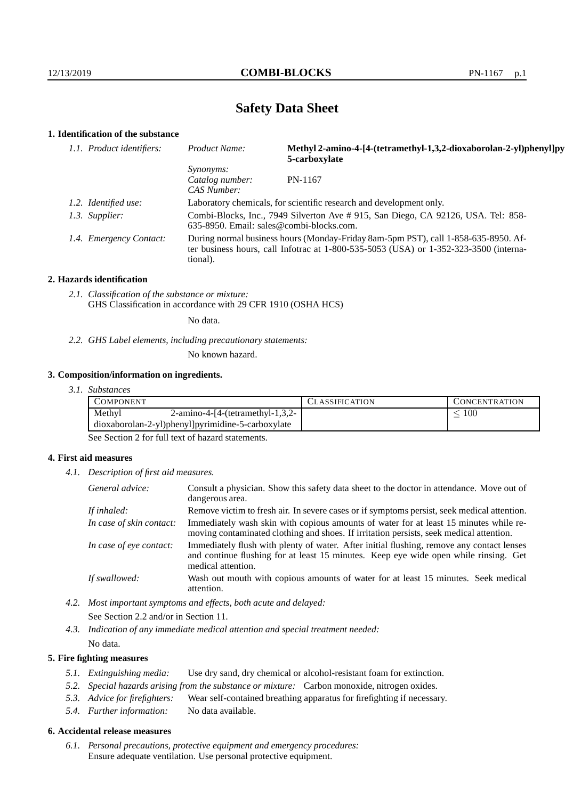# **Safety Data Sheet**

# **1. Identification of the substance**

| Product Name:                                                                                  | Methyl 2-amino-4-[4-(tetramethyl-1,3,2-dioxaborolan-2-yl)phenyl]py<br>5-carboxylate                                                                                             |
|------------------------------------------------------------------------------------------------|---------------------------------------------------------------------------------------------------------------------------------------------------------------------------------|
| <i>Synonyms:</i><br>Catalog number:<br>CAS Number:                                             | PN-1167                                                                                                                                                                         |
|                                                                                                | Laboratory chemicals, for scientific research and development only.                                                                                                             |
|                                                                                                | Combi-Blocks, Inc., 7949 Silverton Ave # 915, San Diego, CA 92126, USA. Tel: 858-                                                                                               |
| tional).                                                                                       | During normal business hours (Monday-Friday 8am-5pm PST), call 1-858-635-8950. Af-<br>ter business hours, call Infotrac at $1-800-535-5053$ (USA) or $1-352-323-3500$ (interna- |
| 1.1. Product identifiers:<br>1.2. Identified use:<br>1.3. Supplier:<br>1.4. Emergency Contact: | 635-8950. Email: sales@combi-blocks.com.                                                                                                                                        |

#### **2. Hazards identification**

*2.1. Classification of the substance or mixture:* GHS Classification in accordance with 29 CFR 1910 (OSHA HCS)

No data.

*2.2. GHS Label elements, including precautionary statements:*

No known hazard.

# **3. Composition/information on ingredients.**

*3.1. Substances*

| Methyl<br>100<br>$2$ -amino-4-[4-(tetramethyl-1,3,2- | COMPONENT                                         | LASSIFICATION | <b>CONCENTRATION</b> |
|------------------------------------------------------|---------------------------------------------------|---------------|----------------------|
|                                                      |                                                   |               |                      |
|                                                      | dioxaborolan-2-yl)phenyl]pyrimidine-5-carboxylate |               |                      |

See Section 2 for full text of hazard statements.

### **4. First aid measures**

*4.1. Description of first aid measures.*

| General advice:          | Consult a physician. Show this safety data sheet to the doctor in attendance. Move out of<br>dangerous area.                                                                                            |
|--------------------------|---------------------------------------------------------------------------------------------------------------------------------------------------------------------------------------------------------|
| If inhaled:              | Remove victim to fresh air. In severe cases or if symptoms persist, seek medical attention.                                                                                                             |
| In case of skin contact: | Immediately wash skin with copious amounts of water for at least 15 minutes while re-<br>moving contaminated clothing and shoes. If irritation persists, seek medical attention.                        |
| In case of eye contact:  | Immediately flush with plenty of water. After initial flushing, remove any contact lenses<br>and continue flushing for at least 15 minutes. Keep eye wide open while rinsing. Get<br>medical attention. |
| If swallowed:            | Wash out mouth with copious amounts of water for at least 15 minutes. Seek medical<br>attention.                                                                                                        |

*4.2. Most important symptoms and effects, both acute and delayed:* See Section 2.2 and/or in Section 11.

*4.3. Indication of any immediate medical attention and special treatment needed:* No data.

# **5. Fire fighting measures**

- *5.1. Extinguishing media:* Use dry sand, dry chemical or alcohol-resistant foam for extinction.
- *5.2. Special hazards arising from the substance or mixture:* Carbon monoxide, nitrogen oxides.
- *5.3. Advice for firefighters:* Wear self-contained breathing apparatus for firefighting if necessary.
- *5.4. Further information:* No data available.

# **6. Accidental release measures**

*6.1. Personal precautions, protective equipment and emergency procedures:* Ensure adequate ventilation. Use personal protective equipment.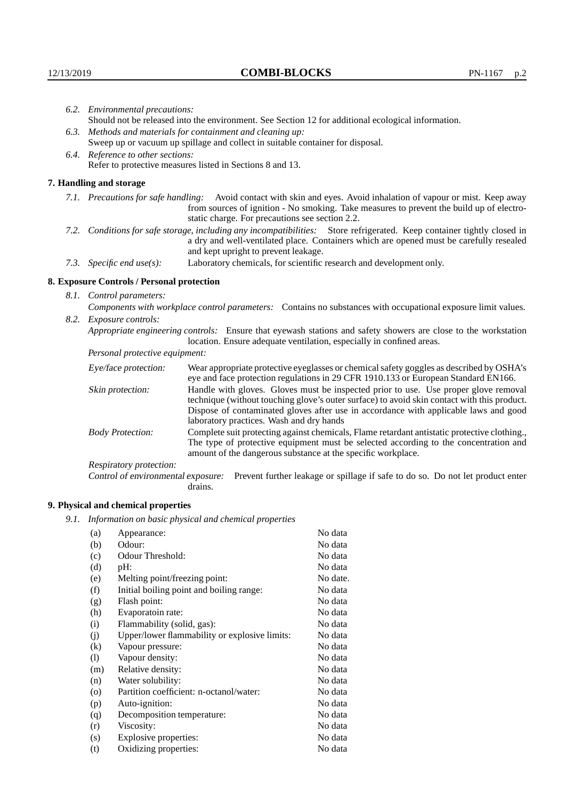| 6.2. Environmental precautions:                                                                    |                                                                                                                                                                                                                                                                    |  |
|----------------------------------------------------------------------------------------------------|--------------------------------------------------------------------------------------------------------------------------------------------------------------------------------------------------------------------------------------------------------------------|--|
| Should not be released into the environment. See Section 12 for additional ecological information. |                                                                                                                                                                                                                                                                    |  |
| 6.3. Methods and materials for containment and cleaning up:                                        |                                                                                                                                                                                                                                                                    |  |
| Sweep up or vacuum up spillage and collect in suitable container for disposal.                     |                                                                                                                                                                                                                                                                    |  |
| 6.4. Reference to other sections:                                                                  |                                                                                                                                                                                                                                                                    |  |
| Refer to protective measures listed in Sections 8 and 13.                                          |                                                                                                                                                                                                                                                                    |  |
| 7. Handling and storage                                                                            |                                                                                                                                                                                                                                                                    |  |
|                                                                                                    | 7.1. Precautions for safe handling: Avoid contact with skin and eyes. Avoid inhalation of vapour or mist. Keep away<br>from sources of ignition - No smoking. Take measures to prevent the build up of electro-<br>static charge. For precautions see section 2.2. |  |
|                                                                                                    | 7.2. Conditions for safe storage, including any incompatibilities: Store refrigerated. Keep container tightly closed in<br>a dry and well-ventilated place. Containers which are opened must be carefully resealed<br>and kept upright to prevent leakage.         |  |
| 7.3. Specific end use(s):                                                                          | Laboratory chemicals, for scientific research and development only.                                                                                                                                                                                                |  |
| 8. Exposure Controls / Personal protection                                                         |                                                                                                                                                                                                                                                                    |  |
| 8.1. Control parameters:                                                                           |                                                                                                                                                                                                                                                                    |  |
|                                                                                                    | Components with workplace control parameters: Contains no substances with occupational exposure limit values.                                                                                                                                                      |  |
| 8.2. Exposure controls:                                                                            |                                                                                                                                                                                                                                                                    |  |
|                                                                                                    | Appropriate engineering controls: Ensure that eyewash stations and safety showers are close to the workstation<br>location. Ensure adequate ventilation, especially in confined areas.                                                                             |  |
| Personal protective equipment:                                                                     |                                                                                                                                                                                                                                                                    |  |
| Eye/face protection:                                                                               | Wear appropriate protective eyeglasses or chemical safety goggles as described by OSHA's<br>eye and face protection regulations in 29 CFR 1910.133 or European Standard EN166.                                                                                     |  |
| Skin protection:                                                                                   | Handle with gloves. Gloves must be inspected prior to use. Use proper glove removal<br>technique (without touching glove's outer surface) to avoid skin contact with this product.                                                                                 |  |

# **8. Exposure Controls / Personal protection**

| Eye/face protection:               | Wear appropriate protective eyeglasses or chemical safety goggles as described by OSHA's<br>eye and face protection regulations in 29 CFR 1910.133 or European Standard EN166.                                                                                                                                         |
|------------------------------------|------------------------------------------------------------------------------------------------------------------------------------------------------------------------------------------------------------------------------------------------------------------------------------------------------------------------|
| Skin protection:                   | Handle with gloves. Gloves must be inspected prior to use. Use proper glove removal<br>technique (without touching glove's outer surface) to avoid skin contact with this product.<br>Dispose of contaminated gloves after use in accordance with applicable laws and good<br>laboratory practices. Wash and dry hands |
| <b>Body Protection:</b>            | Complete suit protecting against chemicals, Flame retardant antistatic protective clothing.,<br>The type of protective equipment must be selected according to the concentration and<br>amount of the dangerous substance at the specific workplace.                                                                   |
| Respiratory protection:            |                                                                                                                                                                                                                                                                                                                        |
| Control of environmental exposure: | Prevent further leakage or spillage if safe to do so. Do not let product enter<br>drains.                                                                                                                                                                                                                              |

# **9. Physical and chemical properties**

*9.1. Information on basic physical and chemical properties*

| (a)                        | Appearance:                                   | No data  |
|----------------------------|-----------------------------------------------|----------|
| (b)                        | Odour:                                        | No data  |
| (c)                        | Odour Threshold:                              | No data  |
| (d)                        | pH:                                           | No data  |
| (e)                        | Melting point/freezing point:                 | No date. |
| (f)                        | Initial boiling point and boiling range:      | No data  |
| (g)                        | Flash point:                                  | No data  |
| (h)                        | Evaporatoin rate:                             | No data  |
| (i)                        | Flammability (solid, gas):                    | No data  |
| (j)                        | Upper/lower flammability or explosive limits: | No data  |
| $\rm(k)$                   | Vapour pressure:                              | No data  |
| $\left( \mathrm{l}\right)$ | Vapour density:                               | No data  |
| (m)                        | Relative density:                             | No data  |
| (n)                        | Water solubility:                             | No data  |
| $\circ$                    | Partition coefficient: n-octanol/water:       | No data  |
| (p)                        | Auto-ignition:                                | No data  |
| (q)                        | Decomposition temperature:                    | No data  |
| (r)                        | Viscosity:                                    | No data  |
| (s)                        | Explosive properties:                         | No data  |
| (t)                        | Oxidizing properties:                         | No data  |